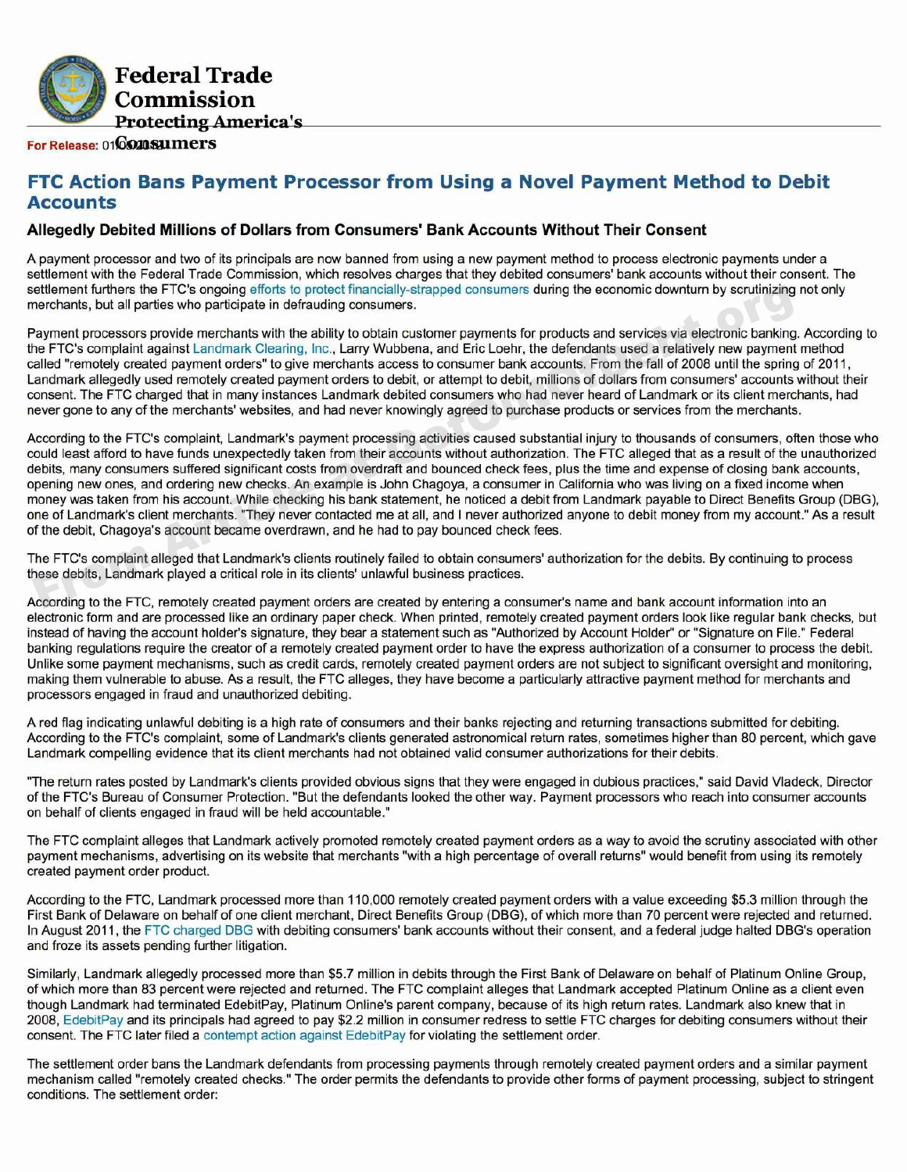

## **For Release: 016020 SUMERS**

# **FTC Action Bans Payment Processor from Using a Novel Payment Method to Debit Accounts**

## **Allegedly Debited Millions of Dollars from Consumers' Bank Accounts Without Their Consent**

A payment processor and two of its principals are now banned from using a new payment method to process electronic payments under a settlement with the Federal Trade Commission, which resolves charges that they debited consumers' bank accounts without their consent. The settlement furthers the FTC's ongoing efforts to protect financially-strapped consumers during the economic downturn by scrutinizing not only merchants, but all parties who participate in defrauding consumers.

Payment processors provide merchants with the ability to obtain customer payments for products and services via electronic banking. According to the FTC's complaint against Landmark Clearing, Inc., Larry Wubbena, and Eric Loehr, the defendants used a relatively new payment method called "remotely created payment orders" to give merchants access to consumer bank accounts. From the fall of 2008 until the spring of 2011, Landmark allegedly used remotely created payment orders to debit, or attempt to debit, millions of dollars from consumers' accounts without their consent. The FTC charged that in many instances Landmark debited consumers who had never heard of Landmark or its client merchants, had never gone to any of the merchants' websites, and had never knowingly agreed to purchase products or services from the merchants.

According to the FTC's complaint, Landmark's payment processing activities caused substantial injury to thousands of consumers, often those who could least afford to have funds unexpectedly taken from their accounts without authorization. The FTC alleged that as a result of the unauthorized debits, many consumers suffered significant costs from overdraft and bounced check fees, plus the time and expense of closing bank accounts, opening new ones, and ordering new checks. An example is John Chagoya, a consumer in California who was living on a fixed income when money was taken from his account. While checking his bank statement, he noticed a debit from Landmark payable to Direct Benefits Group (DBG), one of Landmark's client merchants. "They never contacted me at all, and I never authorized anyone to debit money from my account." As a result of the debit, Chagoya's account became overdrawn, and he had to pay bounced check fees. ettlement turtrers the FIC's ongoing entorist to protect funncially-strapped consumers during the economic downturn by scrutinizing<br>enerchants, but all parties who participate in defination consumers.<br>Payment processors pr

The FTC's complaint alleged that Landmark's clients routinely failed to obtain consumers' authorization for the debits. By continuing to process these debits, Landmark played a critical role in its clients' unlawful business practices.

According to the FTC, remotely created payment orders are created by entering a consumer's name and bank account information into an electronic form and are processed like an ordinary paper check. When printed, remotely created payment orders look like regular bank checks, but instead of having the account holder's signature, they bear a statement such as "Authorized by Account Holder" or "Signature on File." Federal banking regulations require the creator of a remotely created payment order to have the express authorization of a consumer to process the debit. Unlike some payment mechanisms, such as credit cards, remotely created payment orders are not subject to significant oversight and monitoring, making them vulnerable to abuse. As a result, the FTC alleges, they have become a particularly attractive payment method for merchants and processors engaged in fraud and unauthorized debiting.

A red flag indicating unlawful debiting is a high rate of consumers and their banks rejecting and returning transactions submitted for debiting. According to the FTC's complaint, some of Landmark's clients generated astronomical return rates, sometimes higher than 80 percent, which gave Landmark compelling evidence that its client merchants had not obtained valid consumer authorizations for their debits.

"The return rates posted by Landmark's clients provided obvious signs that they were engaged in dubious practices," said David Vladeck, Director of the FTC's Bureau of Consumer Protection. "But the defendants looked the other way. Payment processors who reach into consumer accounts on behalf of clients engaged in fraud will be held accountable."

The FTC complaint alleges that Landmark actively promoted remotely created payment orders as a way to avoid the scrutiny associated with other payment mechanisms, advertising on its website that merchants "with a high percentage of overall returns" would benefit from using its remotely created payment order product.

According to the FTC, Landmark processed more than 110,000 remotely created payment orders with a value exceeding \$5.3 million through the First Bank of Delaware on behalf of one client merchant, Direct Benefits Group (DBG), of which more than 70 percent were rejected and returned. In August 2011, the FTC charged DBG with debiting consumers' bank accounts without their consent, and a federal judge halted DBG's operation and froze its assets pending further litigation.

Similarly, Landmark allegedly processed more than \$5.7 million in debits through the First Bank of Delaware on behalf of Platinum Online Group, of which more than 83 percent were rejected and returned. The FTC complaint alleges that Landmark accepted Platinum Online as a client even though Landmark had terminated EdebitPay, Platinum Online's parent company, because of its high return rates. Landmark also knew that in 2008, EdebitPay and its principals had agreed to pay \$2.2 million in consumer redress to settle FTC charges for debiting consumers without their consent. The FTC later filed a contempt action against EdebitPay for violating the settlement order.

The settlement order bans the Landmark defendants from processing payments through remotely created payment orders and a similar payment mechanism called "remotely created checks." The order permits the defendants to provide other forms of payment processing, subject to stringent conditions. The settlement order: